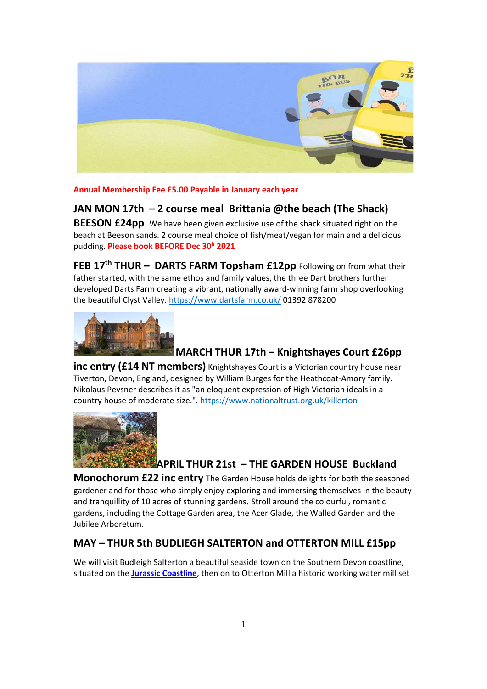

Annual Membership Fee £5.00 Payable in January each year

## JAN MON 17th – 2 course meal Brittania @the beach (The Shack)

**BEESON £24pp** We have been given exclusive use of the shack situated right on the beach at Beeson sands. 2 course meal choice of fish/meat/vegan for main and a delicious pudding. Please book BEFORE Dec 30<sup>h</sup> 2021

FEB 17<sup>th</sup> THUR - DARTS FARM Topsham £12pp Following on from what their father started, with the same ethos and family values, the three Dart brothers further developed Darts Farm creating a vibrant, nationally award-winning farm shop overlooking the beautiful Clyst Valley. https://www.dartsfarm.co.uk/ 01392 878200



#### MARCH THUR 17th – Knightshayes Court £26pp

inc entry (£14 NT members) Knightshayes Court is a Victorian country house near Tiverton, Devon, England, designed by William Burges for the Heathcoat-Amory family. Nikolaus Pevsner describes it as "an eloquent expression of High Victorian ideals in a country house of moderate size.". https://www.nationaltrust.org.uk/killerton



# APRIL THUR 21st – THE GARDEN HOUSE Buckland

**Monochorum £22 inc entry** The Garden House holds delights for both the seasoned gardener and for those who simply enjoy exploring and immersing themselves in the beauty and tranquillity of 10 acres of stunning gardens. Stroll around the colourful, romantic gardens, including the Cottage Garden area, the Acer Glade, the Walled Garden and the Jubilee Arboretum.

#### MAY – THUR 5th BUDLIEGH SALTERTON and OTTERTON MILL £15pp

We will visit Budleigh Salterton a beautiful seaside town on the Southern Devon coastline, situated on the Jurassic Coastline, then on to Otterton Mill a historic working water mill set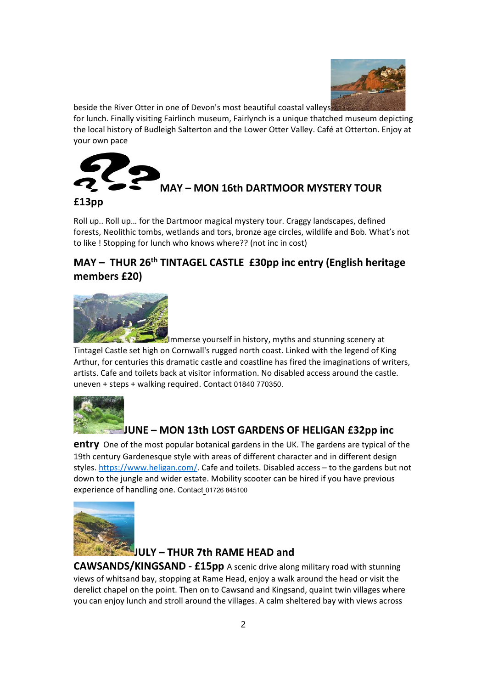

beside the River Otter in one of Devon's most beautiful coastal valleys

for lunch. Finally visiting Fairlinch museum, Fairlynch is a unique thatched museum depicting the local history of Budleigh Salterton and the Lower Otter Valley. Café at Otterton. Enjoy at your own pace



#### £13pp

Roll up.. Roll up… for the Dartmoor magical mystery tour. Craggy landscapes, defined forests, Neolithic tombs, wetlands and tors, bronze age circles, wildlife and Bob. What's not to like ! Stopping for lunch who knows where?? (not inc in cost)

# MAY – THUR 26<sup>th</sup> TINTAGEL CASTLE £30pp inc entry (English heritage members £20)



Immerse yourself in history, myths and stunning scenery at Tintagel Castle set high on Cornwall's rugged north coast. Linked with the legend of King Arthur, for centuries this dramatic castle and coastline has fired the imaginations of writers, artists. Cafe and toilets back at visitor information. No disabled access around the castle. uneven + steps + walking required. Contact 01840 770350.



# JUNE – MON 13th LOST GARDENS OF HELIGAN £32pp inc

**entry** One of the most popular botanical gardens in the UK. The gardens are typical of the 19th century Gardenesque style with areas of different character and in different design styles. https://www.heligan.com/. Cafe and toilets. Disabled access – to the gardens but not down to the jungle and wider estate. Mobility scooter can be hired if you have previous experience of handling one. Contact 01726 845100



# JULY – THUR 7th RAME HEAD and

CAWSANDS/KINGSAND - £15pp A scenic drive along military road with stunning views of whitsand bay, stopping at Rame Head, enjoy a walk around the head or visit the derelict chapel on the point. Then on to Cawsand and Kingsand, quaint twin villages where you can enjoy lunch and stroll around the villages. A calm sheltered bay with views across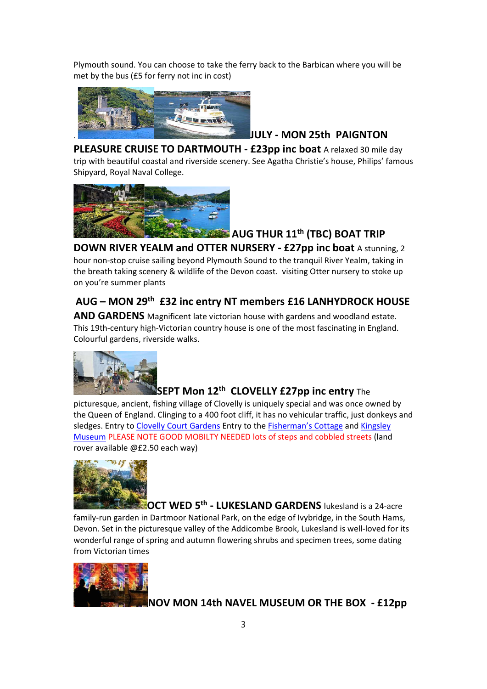Plymouth sound. You can choose to take the ferry back to the Barbican where you will be met by the bus (£5 for ferry not inc in cost)



### . JULY - MON 25th PAIGNTON

PLEASURE CRUISE TO DARTMOUTH - £23pp inc boat A relaxed 30 mile day trip with beautiful coastal and riverside scenery. See Agatha Christie's house, Philips' famous Shipyard, Royal Naval College.



# $\blacktriangleright$  AUG THUR  $11^{\text{th}}$  (TBC) BOAT TRIP

DOWN RIVER YEALM and OTTER NURSERY - £27pp inc boat A stunning, 2 hour non-stop cruise sailing beyond Plymouth Sound to the tranquil River Yealm, taking in the breath taking scenery & wildlife of the Devon coast. visiting Otter nursery to stoke up on you're summer plants

# AUG – MON 29th £32 inc entry NT members £16 LANHYDROCK HOUSE

**AND GARDENS** Magnificent late victorian house with gardens and woodland estate. This 19th-century high-Victorian country house is one of the most fascinating in England. Colourful gardens, riverside walks.



#### SEPT Mon  $12^{\text{th}}$  CLOVELLY £27pp inc entry The

picturesque, ancient, fishing village of Clovelly is uniquely special and was once owned by the Queen of England. Clinging to a 400 foot cliff, it has no vehicular traffic, just donkeys and sledges. Entry to Clovelly Court Gardens Entry to the Fisherman's Cottage and Kingsley Museum PLEASE NOTE GOOD MOBILTY NEEDED lots of steps and cobbled streets (land rover available @£2.50 each way)



OCT WED 5<sup>th</sup> - LUKESLAND GARDENS lukesland is a 24-acre family-run garden in Dartmoor National Park, on the edge of Ivybridge, in the South Hams, Devon. Set in the picturesque valley of the Addicombe Brook, Lukesland is well-loved for its wonderful range of spring and autumn flowering shrubs and specimen trees, some dating from Victorian times



NOV MON 14th NAVEL MUSEUM OR THE BOX - £12pp